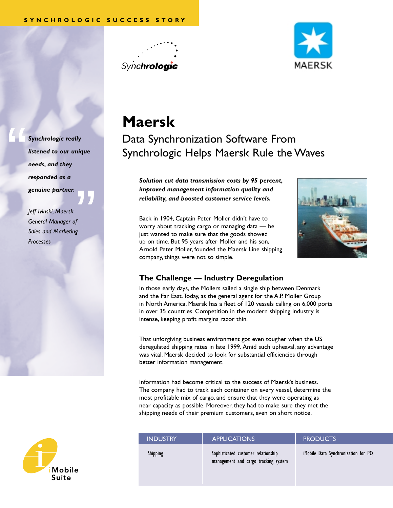



*Synchrologic really listened to our unique needs, and they responded as a genuine partner.*

"

**"**<br>"<br>" *Jeff Ivinski, Maersk General Manager of Sales and Marketing Processes*



Data Synchronization Software From Synchrologic Helps Maersk Rule the Waves

*Solution cut data transmission costs by 95 percent, improved management information quality and reliability, and boosted customer service levels.*

Back in 1904, Captain Peter Moller didn't have to worry about tracking cargo or managing data — he just wanted to make sure that the goods showed up on time. But 95 years after Moller and his son, Arnold Peter Moller, founded the Maersk Line shipping company, things were not so simple.



## **The Challenge — Industry Deregulation**

In those early days, the Mollers sailed a single ship between Denmark and the Far East.Today, as the general agent for the A.P. Moller Group in North America, Maersk has a fleet of 120 vessels calling on 6,000 ports in over 35 countries. Competition in the modern shipping industry is intense, keeping profit margins razor thin.

That unforgiving business environment got even tougher when the US deregulated shipping rates in late 1999. Amid such upheaval, any advantage was vital. Maersk decided to look for substantial efficiencies through better information management.

Information had become critical to the success of Maersk's business. The company had to track each container on every vessel, determine the most profitable mix of cargo, and ensure that they were operating as near capacity as possible. Moreover, they had to make sure they met the shipping needs of their premium customers, even on short notice.

| <b>INDUSTRY</b> | <b>APPLICATIONS</b>                                                         | <b>PRODUCTS</b>                      |
|-----------------|-----------------------------------------------------------------------------|--------------------------------------|
| <b>Shipping</b> | Sophisticated customer relationship<br>management and cargo tracking system | iMobile Data Synchronization for PCs |

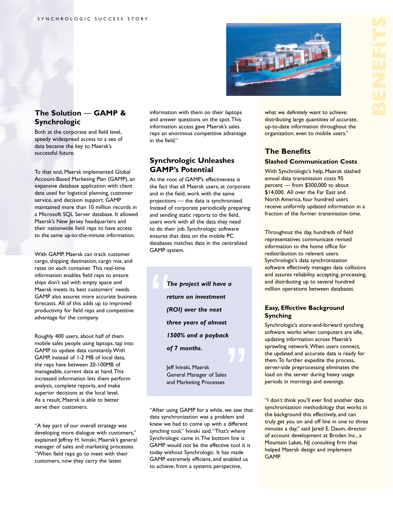

# **The Solution** — **GAMP & Synchrologic**

Both at the corporate and field level, speedy widespread access to a sea of data became the key to Maersk's successful future.

To that end, Maersk implemented Global Account-Based Marketing Plan (GAMP), an expansive database application with client data used for logistical planning, customer service, and decision support. GAMP maintained more than 10 million records in a Microsoft SQL Server database. It allowed Maersk's New Jersey headquarters and their nationwide field reps to have access to the same up-to-the-minute information.

With GAMP, Maersk can track customer cargo, shipping destination, cargo mix, and rates on each container. This real-time information enables field reps to ensure ships don't sail with empty space and Maersk meets its best customers' needs. GAMP also assures more accurate business forecasts. All of this adds up to improved productivity for field reps and competitive advantage for the company.

Roughly 400 users, about half of them mobile sales people using laptops, tap into GAMP to update data constantly.With GAMP, instead of 1-2 MB of local data, the reps have between 20-100MB of manageable, current data at hand.This increased information lets them perform analysis, complete reports, and make superior decisions at the local level. As a result, Maersk is able to better serve their customers.

"A key part of our overall strategy was developing more dialogue with customers," explained Jeffrey H. Ivinski, Maersk's general manager of sales and marketing processes. "When field reps go to meet with their customers, now they carry the latest

information with them on their laptops and answer questions on the spot.This information access gave Maersk's sales reps an enormous competitive advantage in the field."

# **Synchrologic Unleashes GAMP's Potential**

At the root of GAMP's effectiveness is the fact that all Maersk users, at corporate and in the field, work with the same projections — the data is synchronized. Instead of corporate periodically preparing and sending static reports to the field, users work with all the data they need to do their job. Synchrologic software ensures that data on the mobile PC databases matches data in the centralized GAMP system.

 $\begin{array}{c} \begin{array}{c} \begin{array}{c} \end{array} \\ \begin{array}{c} \end{array} \\ \begin{array}{c} \end{array} \\ \begin{array}{c} \end{array} \\ \begin{array}{c} \end{array} \\ \begin{array}{c} \end{array} \\ \begin{array}{c} \end{array} \\ \begin{array}{c} \end{array} \\ \begin{array}{c} \end{array} \end{array}$ *The project will have a return on investment (ROI) over the next three years of almost 1500% and a payback of 7 months.*

> Jeff Ivinski, Maersk General Manager of Sales and Marketing Processes

"After using GAMP for a while, we saw that data synchronization was a problem and knew we had to come up with a different synching tool," Ivinski said."That's where Synchrologic came in.The bottom line is GAMP would not be the effective tool it is today without Synchrologic. It has made GAMP extremely efficient, and enabled us to achieve, from a systems perspective,

what we definitely want to achieve: distributing large quantities of accurate, up-to-date information throughout the organization, even to mobile users."

# **The Benefits Slashed Communication Costs**

With Synchrologic's help, Maersk slashed annual data transmission costs 95 percent — from \$300,000 to about \$14,000. All over the Far East and North America, four hundred users receive uniformly updated information in a fraction of the former transmission time.

Throughout the day, hundreds of field representatives communicate revised information to the home office for redistribution to relevant users. Synchrologic's data synchronization software effectively manages data collisions and assures reliability, accepting, processing, and distributing up to several hundred million operations between databases.

#### **Easy, Effective Background Synching**

Synchrologic's store-and-forward synching software works when computers are idle, updating information across Maersk's sprawling network.When users connect, the updated and accurate data is ready for them.To further expedite the process, server-side preprocessing eliminates the load on the server during heavy usage periods in mornings and evenings.

"I don't think you'll ever find another data synchronization methodology that works in the background this effectively, and can truly get you on and off line in one to three minutes a day," said Jared E. Daum, director of account development at Broden Inc., a Mountain Lakes, NJ consulting firm that helped Maersk design and implement GAMP.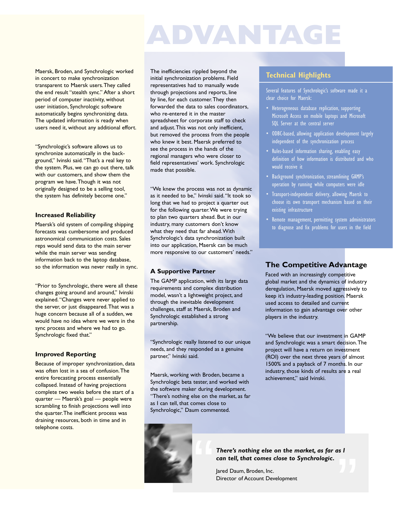# **ADVANTAGE**

Maersk, Broden, and Synchrologic worked in concert to make synchronization transparent to Maersk users.They called the end result "stealth sync." After a short period of computer inactivity, without user initiation, Synchrologic software automatically begins synchronizing data. The updated information is ready when users need it, without any additional effort.

"Synchrologic's software allows us to synchronize automatically in the background," Ivinski said."That's a real key to the system. Plus, we can go out there, talk with our customers, and show them the program we have.Though it was not originally designed to be a selling tool, the system has definitely become one."

#### **Increased Reliability**

Maersk's old system of compiling shipping forecasts was cumbersome and produced astronomical communication costs. Sales reps would send data to the main server while the main server was sending information back to the laptop database, so the information was never really in sync.

"Prior to Synchrologic, there were all these changes going around and around," Ivinski explained."Changes were never applied to the server, or just disappeared.That was a huge concern because all of a sudden, we would have no idea where we were in the sync process and where we had to go. Synchrologic fixed that."

#### **Improved Reporting**

Because of improper synchronization, data was often lost in a sea of confusion.The entire forecasting process essentially collapsed. Instead of having projections complete two weeks before the start of a quarter — Maersk's goal — people were scrambling to finish projections well into the quarter.The inefficient process was draining resources, both in time and in telephone costs.

The inefficiencies rippled beyond the initial synchronization problems. Field representatives had to manually wade through projections and reports, line by line, for each customer.They then forwarded the data to sales coordinators, who re-entered it in the master spreadsheet for corporate staff to check and adjust.This was not only inefficient, but removed the process from the people who knew it best. Maersk preferred to see the process in the hands of the regional managers who were closer to field representatives' work. Synchrologic made that possible.

"We knew the process was not as dynamic as it needed to be," Ivinski said."It took so long that we had to project a quarter out for the following quarter.We were trying to plan two quarters ahead. But in our industry, many customers don't know what they need that far ahead.With Synchrologic's data synchronization built into our application, Maersk can be much more responsive to our customers' needs."

#### **A Supportive Partner**

The GAMP application, with its large data requirements and complex distribution model, wasn't a lightweight project, and through the inevitable development challenges, staff at Maersk, Broden and Synchrologic established a strong partnership.

"Synchrologic really listened to our unique needs, and they responded as a genuine partner," Ivinski said.

Maersk, working with Broden, became a Synchrologic beta tester, and worked with the software maker during development. "There's nothing else on the market, as far as I can tell, that comes close to Synchrologic," Daum commented.



#### **Technical Highlights**

Several features of Synchrologic's software made it a clear choice for Maersk:

- Heterogeneous database replication, supporting Microsoft Access on mobile laptops and Microsoft SQL Server at the central server
- ODBC-based, allowing application development largely independent of the synchronization process
- Rules-based information sharing, enabling easy definition of how information is distributed and who would receive it
- Background synchronization, streamlining GAMP's operation by running while computers were idle
- Transport-independent delivery, allowing Maersk to choose its own transport mechanism based on their existing infrastructure
- Remote management, permitting system administrators to diagnose and fix problems for users in the field

### **The Competitive Advantage**

Faced with an increasingly competitive global market and the dynamics of industry deregulation, Maersk moved aggressively to keep it's industry-leading position. Maersk used access to detailed and current information to gain advantage over other players in the industry.

"We believe that our investment in GAMP and Synchrologic was a smart decision.The project will have a return on investment (ROI) over the next three years of almost 1500% and a payback of 7 months. In our industry, those kinds of results are a real achievement," said Ivinski.

"<br>"<br>" *There's nothing else on the market, as far as I can tell, that comes close to Synchrologic.*

Jared Daum, Broden, Inc. Director of Account Development